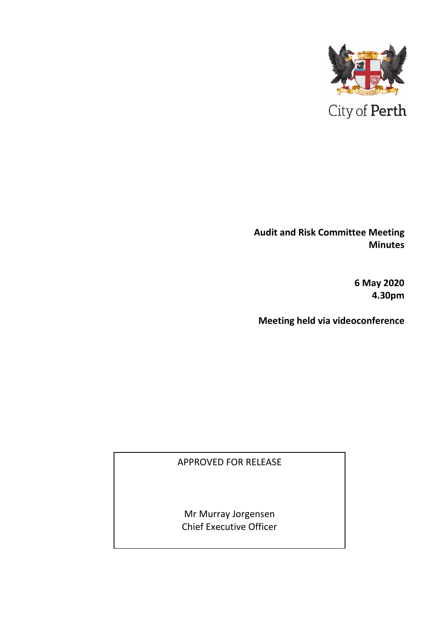

**Audit and Risk Committee Meeting Minutes** 

> **6 May 2020 4.30pm**

**Meeting held via videoconference**

APPROVED FOR RELEASE

Mr Murray Jorgensen Chief Executive Officer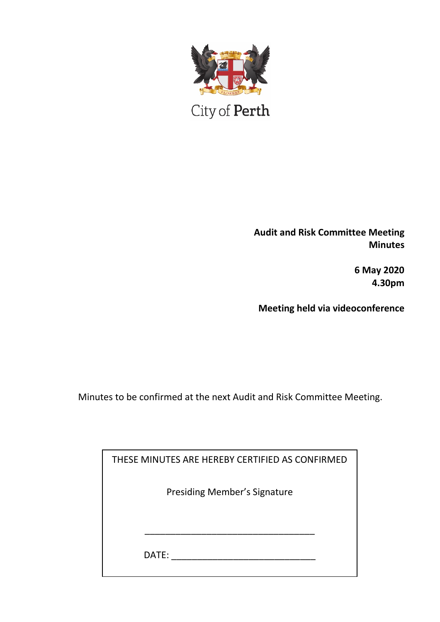

City of Perth

**Audit and Risk Committee Meeting Minutes**

> **6 May 2020 4.30pm**

**Meeting held via videoconference**

Minutes to be confirmed at the next Audit and Risk Committee Meeting.

| THESE MINUTES ARE HEREBY CERTIFIED AS CONFIRMED |  |
|-------------------------------------------------|--|
| <b>Presiding Member's Signature</b>             |  |
| DATE:                                           |  |
|                                                 |  |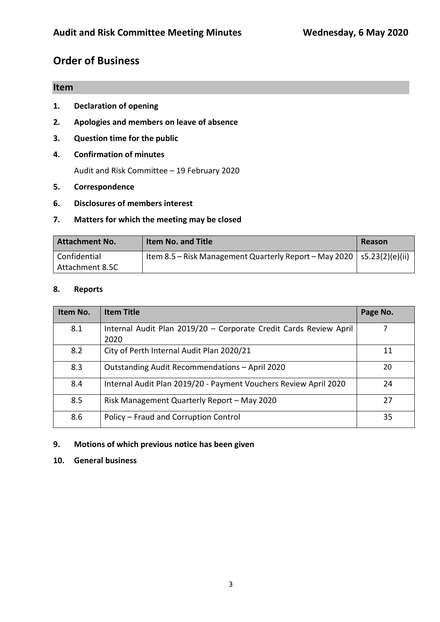# **Order of Business**

### **Item**

- **1. Declaration of opening**
- **2. Apologies and members on leave of absence**
- **3. Question time for the public**
- **4. Confirmation of minutes**

Audit and Risk Committee – 19 February 2020

- **5. Correspondence**
- **6. Disclosures of members interest**

#### **7. Matters for which the meeting may be closed**

| <b>Attachment No.</b> | <b>Item No. and Title</b>                                                | Reason |
|-----------------------|--------------------------------------------------------------------------|--------|
| Confidential          | Item 8.5 – Risk Management Quarterly Report – May 2020   s5.23(2)(e)(ii) |        |
| Attachment 8.5C       |                                                                          |        |

#### **8. Reports**

| Item No. | <b>Item Title</b>                                                         | Page No. |
|----------|---------------------------------------------------------------------------|----------|
| 8.1      | Internal Audit Plan 2019/20 - Corporate Credit Cards Review April<br>2020 |          |
| 8.2      | City of Perth Internal Audit Plan 2020/21                                 | 11       |
| 8.3      | Outstanding Audit Recommendations - April 2020                            | 20       |
| 8.4      | Internal Audit Plan 2019/20 - Payment Vouchers Review April 2020          | 24       |
| 8.5      | Risk Management Quarterly Report - May 2020                               | 27       |
| 8.6      | Policy - Fraud and Corruption Control                                     | 35       |

#### **9. Motions of which previous notice has been given**

#### **10. General business**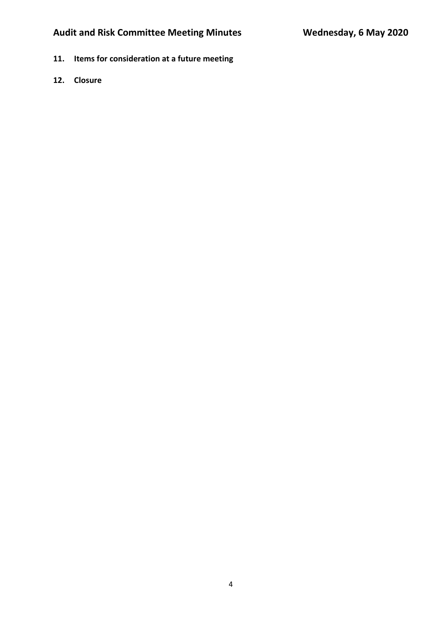- **11. Items for consideration at a future meeting**
- **12. Closure**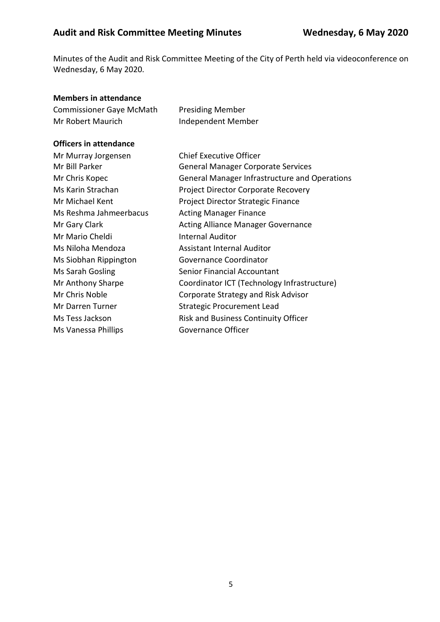Minutes of the Audit and Risk Committee Meeting of the City of Perth held via videoconference on Wednesday, 6 May 2020.

#### **Members in attendance**

| <b>Commissioner Gaye McMath</b> | <b>Presiding Member</b> |
|---------------------------------|-------------------------|
| Mr Robert Maurich               | Independent Member      |

#### **Officers in attendance**

| Mr Murray Jorgensen    | Chief Executive Officer                              |
|------------------------|------------------------------------------------------|
| Mr Bill Parker         | <b>General Manager Corporate Services</b>            |
| Mr Chris Kopec         | <b>General Manager Infrastructure and Operations</b> |
| Ms Karin Strachan      | Project Director Corporate Recovery                  |
| Mr Michael Kent        | Project Director Strategic Finance                   |
| Ms Reshma Jahmeerbacus | <b>Acting Manager Finance</b>                        |
| Mr Gary Clark          | <b>Acting Alliance Manager Governance</b>            |
| Mr Mario Cheldi        | <b>Internal Auditor</b>                              |
| Ms Niloha Mendoza      | Assistant Internal Auditor                           |
| Ms Siobhan Rippington  | Governance Coordinator                               |
| Ms Sarah Gosling       | Senior Financial Accountant                          |
| Mr Anthony Sharpe      | Coordinator ICT (Technology Infrastructure)          |
| Mr Chris Noble         | Corporate Strategy and Risk Advisor                  |
| Mr Darren Turner       | <b>Strategic Procurement Lead</b>                    |
| Ms Tess Jackson        | <b>Risk and Business Continuity Officer</b>          |
| Ms Vanessa Phillips    | Governance Officer                                   |
|                        |                                                      |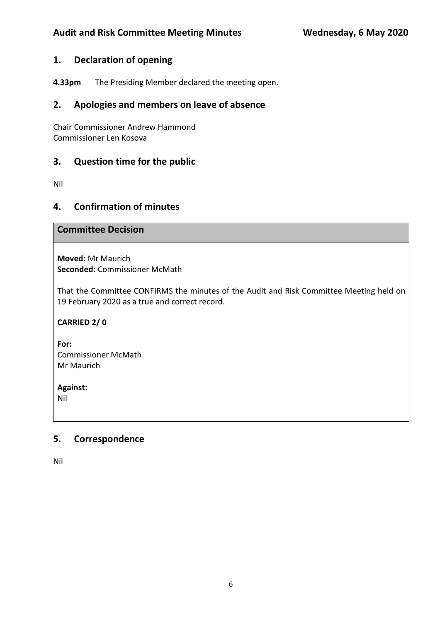### **1. Declaration of opening**

**4.33pm** The Presiding Member declared the meeting open.

## **2. Apologies and members on leave of absence**

Chair Commissioner Andrew Hammond Commissioner Len Kosova

## **3. Question time for the public**

Nil

### **4. Confirmation of minutes**

### **Committee Decision**

**Moved:** Mr Maurich **Seconded:** Commissioner McMath

That the Committee CONFIRMS the minutes of the Audit and Risk Committee Meeting held on 19 February 2020 as a true and correct record.

**CARRIED 2/ 0**

**For:**  Commissioner McMath Mr Maurich

**Against:** 

Nil

## **5. Correspondence**

Nil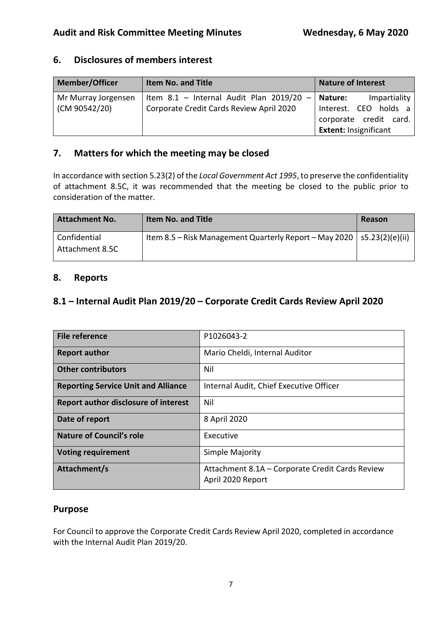| 6. | <b>Disclosures of members interest</b> |
|----|----------------------------------------|
|    |                                        |

| <b>Member/Officer</b> | <b>Item No. and Title</b>                | <b>Nature of Interest</b>                       |
|-----------------------|------------------------------------------|-------------------------------------------------|
| Mr Murray Jorgensen   | Item 8.1 - Internal Audit Plan 2019/20 - | Impartiality<br>Nature:                         |
| (CM 90542/20)         | Corporate Credit Cards Review April 2020 | Interest. CEO holds a<br>corporate credit card. |
|                       |                                          | <b>Extent: Insignificant</b>                    |

## **7. Matters for which the meeting may be closed**

In accordance with section 5.23(2) of the *Local Government Act 1995*, to preserve the confidentiality of attachment 8.5C, it was recommended that the meeting be closed to the public prior to consideration of the matter.

| <b>Attachment No.</b>           | <b>Item No. and Title</b>                                                | Reason |
|---------------------------------|--------------------------------------------------------------------------|--------|
| Confidential<br>Attachment 8.5C | Item 8.5 – Risk Management Quarterly Report – May 2020   s5.23(2)(e)(ii) |        |

### **8. Reports**

## **8.1 – Internal Audit Plan 2019/20 – Corporate Credit Cards Review April 2020**

| <b>File reference</b>                      | P1026043-2                                                           |
|--------------------------------------------|----------------------------------------------------------------------|
| <b>Report author</b>                       | Mario Cheldi, Internal Auditor                                       |
| <b>Other contributors</b>                  | Nil                                                                  |
| <b>Reporting Service Unit and Alliance</b> | Internal Audit, Chief Executive Officer                              |
| Report author disclosure of interest       | Nil                                                                  |
| Date of report                             | 8 April 2020                                                         |
| Nature of Council's role                   | Executive                                                            |
| <b>Voting requirement</b>                  | Simple Majority                                                      |
| Attachment/s                               | Attachment 8.1A - Corporate Credit Cards Review<br>April 2020 Report |

### **Purpose**

For Council to approve the Corporate Credit Cards Review April 2020, completed in accordance with the Internal Audit Plan 2019/20.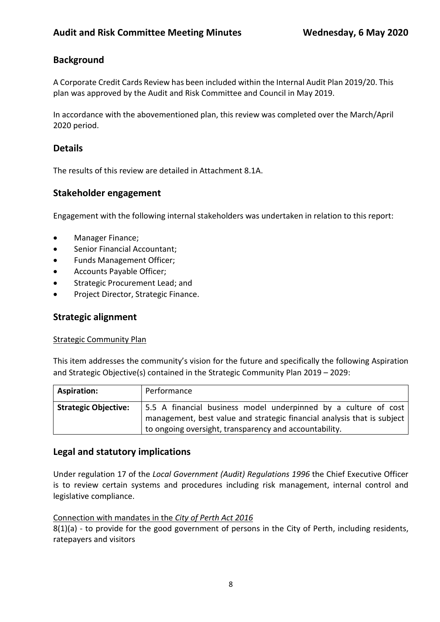## **Background**

A Corporate Credit Cards Review has been included within the Internal Audit Plan 2019/20. This plan was approved by the Audit and Risk Committee and Council in May 2019.

In accordance with the abovementioned plan, this review was completed over the March/April 2020 period.

## **Details**

The results of this review are detailed in Attachment 8.1A.

## **Stakeholder engagement**

Engagement with the following internal stakeholders was undertaken in relation to this report:

- Manager Finance;
- Senior Financial Accountant;
- Funds Management Officer;
- Accounts Payable Officer;
- Strategic Procurement Lead; and
- Project Director, Strategic Finance.

### **Strategic alignment**

#### Strategic Community Plan

This item addresses the community's vision for the future and specifically the following Aspiration and Strategic Objective(s) contained in the Strategic Community Plan 2019 – 2029:

| <b>Aspiration:</b>          | Performance                                                                                                                                                                                          |
|-----------------------------|------------------------------------------------------------------------------------------------------------------------------------------------------------------------------------------------------|
| <b>Strategic Objective:</b> | 5.5 A financial business model underpinned by a culture of cost<br>management, best value and strategic financial analysis that is subject<br>to ongoing oversight, transparency and accountability. |

### **Legal and statutory implications**

Under regulation 17 of the *Local Government (Audit) Regulations 1996* the Chief Executive Officer is to review certain systems and procedures including risk management, internal control and legislative compliance.

#### Connection with mandates in the *City of Perth Act 2016*

8(1)(a) - to provide for the good government of persons in the City of Perth, including residents, ratepayers and visitors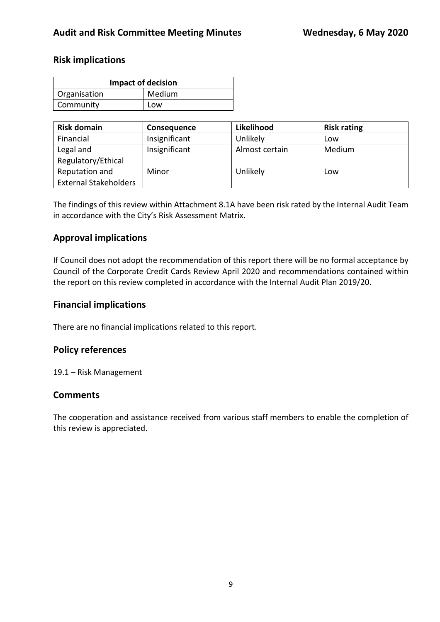### **Risk implications**

| <b>Impact of decision</b> |        |  |
|---------------------------|--------|--|
| Organisation              | Medium |  |
| Community                 | Low    |  |

| <b>Risk domain</b>           | <b>Consequence</b> | Likelihood     | <b>Risk rating</b> |
|------------------------------|--------------------|----------------|--------------------|
| Financial                    | Insignificant      | Unlikely       | Low                |
| Legal and                    | Insignificant      | Almost certain | Medium             |
| Regulatory/Ethical           |                    |                |                    |
| Reputation and               | Minor              | Unlikely       | Low                |
| <b>External Stakeholders</b> |                    |                |                    |

The findings of this review within Attachment 8.1A have been risk rated by the Internal Audit Team in accordance with the City's Risk Assessment Matrix.

### **Approval implications**

If Council does not adopt the recommendation of this report there will be no formal acceptance by Council of the Corporate Credit Cards Review April 2020 and recommendations contained within the report on this review completed in accordance with the Internal Audit Plan 2019/20.

### **Financial implications**

There are no financial implications related to this report.

### **Policy references**

19.1 – Risk Management

### **Comments**

The cooperation and assistance received from various staff members to enable the completion of this review is appreciated.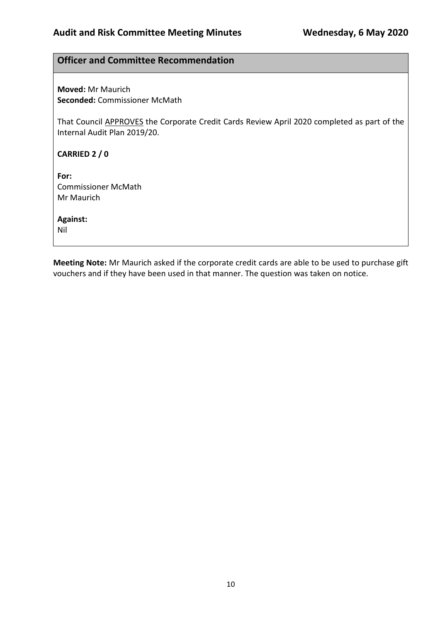#### **Officer and Committee Recommendation**

**Moved:** Mr Maurich **Seconded:** Commissioner McMath

That Council APPROVES the Corporate Credit Cards Review April 2020 completed as part of the Internal Audit Plan 2019/20.

**CARRIED 2 / 0**

**For:**  Commissioner McMath Mr Maurich

**Against:**  Nil

**Meeting Note:** Mr Maurich asked if the corporate credit cards are able to be used to purchase gift vouchers and if they have been used in that manner. The question was taken on notice.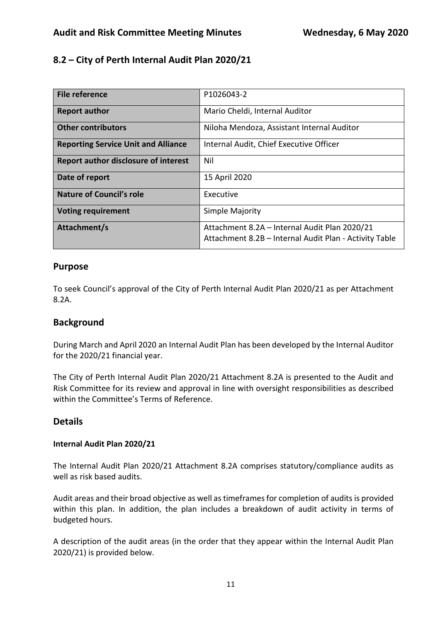## **8.2 – City of Perth Internal Audit Plan 2020/21**

| File reference                              | P1026043-2                                                                                              |
|---------------------------------------------|---------------------------------------------------------------------------------------------------------|
| <b>Report author</b>                        | Mario Cheldi, Internal Auditor                                                                          |
| <b>Other contributors</b>                   | Niloha Mendoza, Assistant Internal Auditor                                                              |
| <b>Reporting Service Unit and Alliance</b>  | Internal Audit, Chief Executive Officer                                                                 |
| <b>Report author disclosure of interest</b> | Nil                                                                                                     |
| Date of report                              | 15 April 2020                                                                                           |
| <b>Nature of Council's role</b>             | Executive                                                                                               |
| <b>Voting requirement</b>                   | Simple Majority                                                                                         |
| Attachment/s                                | Attachment 8.2A - Internal Audit Plan 2020/21<br>Attachment 8.2B - Internal Audit Plan - Activity Table |

### **Purpose**

To seek Council's approval of the City of Perth Internal Audit Plan 2020/21 as per Attachment 8.2A.

### **Background**

During March and April 2020 an Internal Audit Plan has been developed by the Internal Auditor for the 2020/21 financial year.

The City of Perth Internal Audit Plan 2020/21 Attachment 8.2A is presented to the Audit and Risk Committee for its review and approval in line with oversight responsibilities as described within the Committee's Terms of Reference.

### **Details**

#### **Internal Audit Plan 2020/21**

The Internal Audit Plan 2020/21 Attachment 8.2A comprises statutory/compliance audits as well as risk based audits.

Audit areas and their broad objective as well as timeframes for completion of audits is provided within this plan. In addition, the plan includes a breakdown of audit activity in terms of budgeted hours.

A description of the audit areas (in the order that they appear within the Internal Audit Plan 2020/21) is provided below.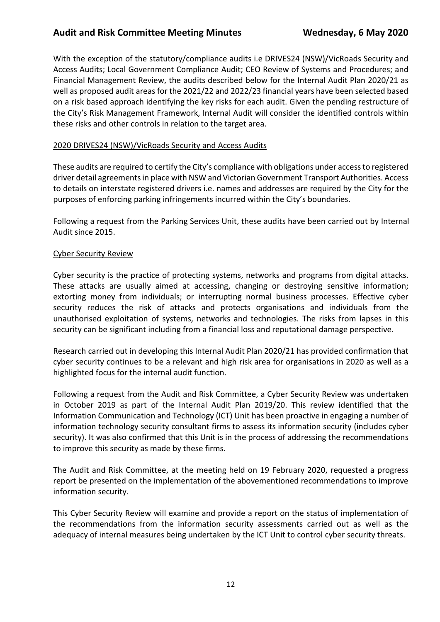With the exception of the statutory/compliance audits i.e DRIVES24 (NSW)/VicRoads Security and Access Audits; Local Government Compliance Audit; CEO Review of Systems and Procedures; and Financial Management Review, the audits described below for the Internal Audit Plan 2020/21 as well as proposed audit areas for the 2021/22 and 2022/23 financial years have been selected based on a risk based approach identifying the key risks for each audit. Given the pending restructure of the City's Risk Management Framework, Internal Audit will consider the identified controls within these risks and other controls in relation to the target area.

#### 2020 DRIVES24 (NSW)/VicRoads Security and Access Audits

These audits are required to certify the City's compliance with obligations under access to registered driver detail agreements in place with NSW and Victorian Government Transport Authorities. Access to details on interstate registered drivers i.e. names and addresses are required by the City for the purposes of enforcing parking infringements incurred within the City's boundaries.

Following a request from the Parking Services Unit, these audits have been carried out by Internal Audit since 2015.

#### Cyber Security Review

Cyber security is the practice of protecting systems, networks and programs from digital attacks. These attacks are usually aimed at accessing, changing or destroying sensitive information; extorting money from individuals; or interrupting normal business processes. Effective cyber security reduces the risk of attacks and protects organisations and individuals from the unauthorised exploitation of systems, networks and technologies. The risks from lapses in this security can be significant including from a financial loss and reputational damage perspective.

Research carried out in developing this Internal Audit Plan 2020/21 has provided confirmation that cyber security continues to be a relevant and high risk area for organisations in 2020 as well as a highlighted focus for the internal audit function.

Following a request from the Audit and Risk Committee, a Cyber Security Review was undertaken in October 2019 as part of the Internal Audit Plan 2019/20. This review identified that the Information Communication and Technology (ICT) Unit has been proactive in engaging a number of information technology security consultant firms to assess its information security (includes cyber security). It was also confirmed that this Unit is in the process of addressing the recommendations to improve this security as made by these firms.

The Audit and Risk Committee, at the meeting held on 19 February 2020, requested a progress report be presented on the implementation of the abovementioned recommendations to improve information security.

This Cyber Security Review will examine and provide a report on the status of implementation of the recommendations from the information security assessments carried out as well as the adequacy of internal measures being undertaken by the ICT Unit to control cyber security threats.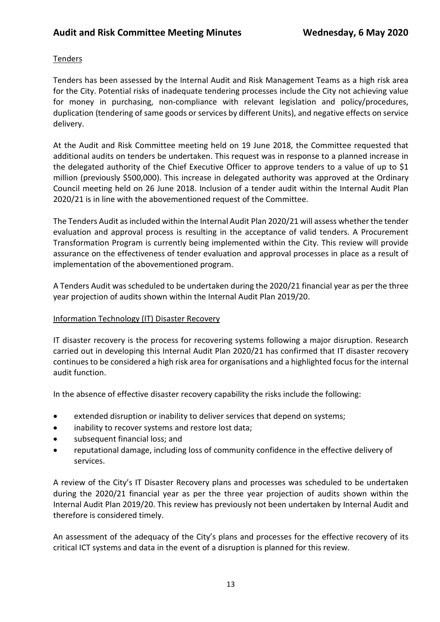#### **Tenders**

Tenders has been assessed by the Internal Audit and Risk Management Teams as a high risk area for the City. Potential risks of inadequate tendering processes include the City not achieving value for money in purchasing, non-compliance with relevant legislation and policy/procedures, duplication (tendering of same goods or services by different Units), and negative effects on service delivery.

At the Audit and Risk Committee meeting held on 19 June 2018, the Committee requested that additional audits on tenders be undertaken. This request was in response to a planned increase in the delegated authority of the Chief Executive Officer to approve tenders to a value of up to \$1 million (previously \$500,000). This increase in delegated authority was approved at the Ordinary Council meeting held on 26 June 2018. Inclusion of a tender audit within the Internal Audit Plan 2020/21 is in line with the abovementioned request of the Committee.

The Tenders Audit as included within the Internal Audit Plan 2020/21 will assess whether the tender evaluation and approval process is resulting in the acceptance of valid tenders. A Procurement Transformation Program is currently being implemented within the City. This review will provide assurance on the effectiveness of tender evaluation and approval processes in place as a result of implementation of the abovementioned program.

A Tenders Audit was scheduled to be undertaken during the 2020/21 financial year as per the three year projection of audits shown within the Internal Audit Plan 2019/20.

#### Information Technology (IT) Disaster Recovery

IT disaster recovery is the process for recovering systems following a major disruption. Research carried out in developing this Internal Audit Plan 2020/21 has confirmed that IT disaster recovery continues to be considered a high risk area for organisations and a highlighted focus for the internal audit function.

In the absence of effective disaster recovery capability the risks include the following:

- extended disruption or inability to deliver services that depend on systems;
- inability to recover systems and restore lost data;
- subsequent financial loss; and
- reputational damage, including loss of community confidence in the effective delivery of services.

A review of the City's IT Disaster Recovery plans and processes was scheduled to be undertaken during the 2020/21 financial year as per the three year projection of audits shown within the Internal Audit Plan 2019/20. This review has previously not been undertaken by Internal Audit and therefore is considered timely.

An assessment of the adequacy of the City's plans and processes for the effective recovery of its critical ICT systems and data in the event of a disruption is planned for this review.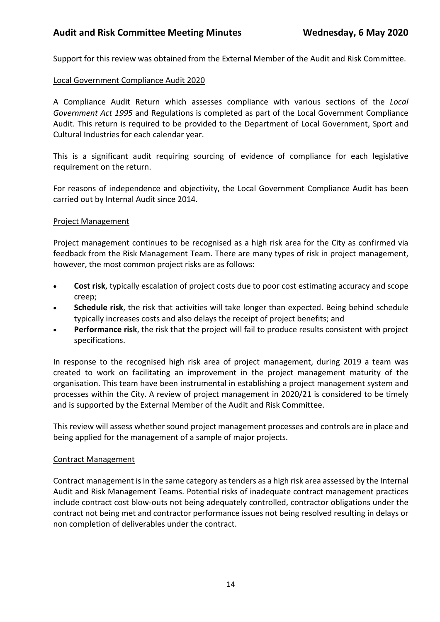Support for this review was obtained from the External Member of the Audit and Risk Committee.

#### Local Government Compliance Audit 2020

A Compliance Audit Return which assesses compliance with various sections of the *Local Government Act 1995* and Regulations is completed as part of the Local Government Compliance Audit. This return is required to be provided to the Department of Local Government, Sport and Cultural Industries for each calendar year.

This is a significant audit requiring sourcing of evidence of compliance for each legislative requirement on the return.

For reasons of independence and objectivity, the Local Government Compliance Audit has been carried out by Internal Audit since 2014.

#### Project Management

Project management continues to be recognised as a high risk area for the City as confirmed via feedback from the Risk Management Team. There are many types of risk in project management, however, the most common project risks are as follows:

- **Cost risk**, typically escalation of project costs due to poor cost estimating accuracy and scope creep;
- **Schedule risk**, the risk that activities will take longer than expected. Being behind schedule typically increases costs and also delays the receipt of project benefits; and
- **Performance risk**, the risk that the project will fail to produce results consistent with project specifications.

In response to the recognised high risk area of project management, during 2019 a team was created to work on facilitating an improvement in the project management maturity of the organisation. This team have been instrumental in establishing a project management system and processes within the City. A review of project management in 2020/21 is considered to be timely and is supported by the External Member of the Audit and Risk Committee.

This review will assess whether sound project management processes and controls are in place and being applied for the management of a sample of major projects.

#### Contract Management

Contract management is in the same category as tenders as a high risk area assessed by the Internal Audit and Risk Management Teams. Potential risks of inadequate contract management practices include contract cost blow-outs not being adequately controlled, contractor obligations under the contract not being met and contractor performance issues not being resolved resulting in delays or non completion of deliverables under the contract.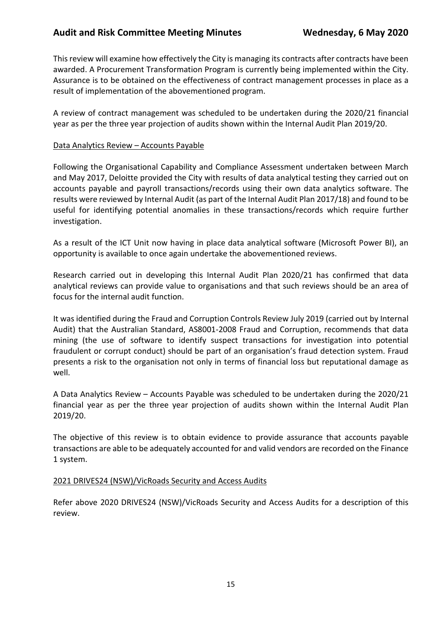This review will examine how effectively the City is managing its contracts after contracts have been awarded. A Procurement Transformation Program is currently being implemented within the City. Assurance is to be obtained on the effectiveness of contract management processes in place as a result of implementation of the abovementioned program.

A review of contract management was scheduled to be undertaken during the 2020/21 financial year as per the three year projection of audits shown within the Internal Audit Plan 2019/20.

#### Data Analytics Review – Accounts Payable

Following the Organisational Capability and Compliance Assessment undertaken between March and May 2017, Deloitte provided the City with results of data analytical testing they carried out on accounts payable and payroll transactions/records using their own data analytics software. The results were reviewed by Internal Audit (as part of the Internal Audit Plan 2017/18) and found to be useful for identifying potential anomalies in these transactions/records which require further investigation.

As a result of the ICT Unit now having in place data analytical software (Microsoft Power BI), an opportunity is available to once again undertake the abovementioned reviews.

Research carried out in developing this Internal Audit Plan 2020/21 has confirmed that data analytical reviews can provide value to organisations and that such reviews should be an area of focus for the internal audit function.

It was identified during the Fraud and Corruption Controls Review July 2019 (carried out by Internal Audit) that the Australian Standard, AS8001-2008 Fraud and Corruption, recommends that data mining (the use of software to identify suspect transactions for investigation into potential fraudulent or corrupt conduct) should be part of an organisation's fraud detection system. Fraud presents a risk to the organisation not only in terms of financial loss but reputational damage as well.

A Data Analytics Review – Accounts Payable was scheduled to be undertaken during the 2020/21 financial year as per the three year projection of audits shown within the Internal Audit Plan 2019/20.

The objective of this review is to obtain evidence to provide assurance that accounts payable transactions are able to be adequately accounted for and valid vendors are recorded on the Finance 1 system.

#### 2021 DRIVES24 (NSW)/VicRoads Security and Access Audits

Refer above 2020 DRIVES24 (NSW)/VicRoads Security and Access Audits for a description of this review.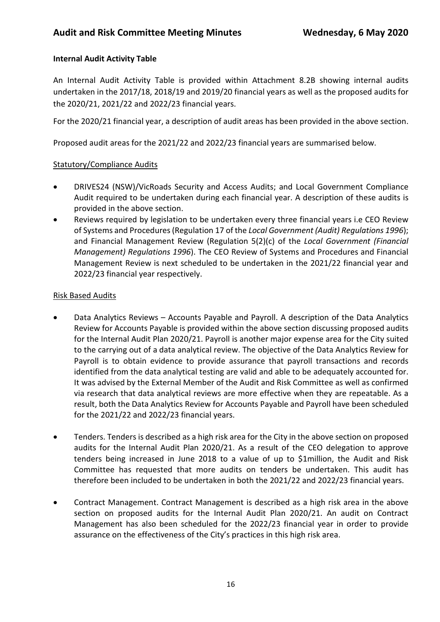### **Internal Audit Activity Table**

An Internal Audit Activity Table is provided within Attachment 8.2B showing internal audits undertaken in the 2017/18, 2018/19 and 2019/20 financial years as well as the proposed audits for the 2020/21, 2021/22 and 2022/23 financial years.

For the 2020/21 financial year, a description of audit areas has been provided in the above section.

Proposed audit areas for the 2021/22 and 2022/23 financial years are summarised below.

#### Statutory/Compliance Audits

- DRIVES24 (NSW)/VicRoads Security and Access Audits; and Local Government Compliance Audit required to be undertaken during each financial year. A description of these audits is provided in the above section.
- Reviews required by legislation to be undertaken every three financial years i.e CEO Review of Systems and Procedures (Regulation 17 of the *Local Government (Audit) Regulations 1996*); and Financial Management Review (Regulation 5(2)(c) of the *Local Government (Financial Management) Regulations 1996*). The CEO Review of Systems and Procedures and Financial Management Review is next scheduled to be undertaken in the 2021/22 financial year and 2022/23 financial year respectively.

#### Risk Based Audits

- Data Analytics Reviews Accounts Payable and Payroll. A description of the Data Analytics Review for Accounts Payable is provided within the above section discussing proposed audits for the Internal Audit Plan 2020/21. Payroll is another major expense area for the City suited to the carrying out of a data analytical review. The objective of the Data Analytics Review for Payroll is to obtain evidence to provide assurance that payroll transactions and records identified from the data analytical testing are valid and able to be adequately accounted for. It was advised by the External Member of the Audit and Risk Committee as well as confirmed via research that data analytical reviews are more effective when they are repeatable. As a result, both the Data Analytics Review for Accounts Payable and Payroll have been scheduled for the 2021/22 and 2022/23 financial years.
- Tenders. Tenders is described as a high risk area for the City in the above section on proposed audits for the Internal Audit Plan 2020/21. As a result of the CEO delegation to approve tenders being increased in June 2018 to a value of up to \$1million, the Audit and Risk Committee has requested that more audits on tenders be undertaken. This audit has therefore been included to be undertaken in both the 2021/22 and 2022/23 financial years.
- Contract Management. Contract Management is described as a high risk area in the above section on proposed audits for the Internal Audit Plan 2020/21. An audit on Contract Management has also been scheduled for the 2022/23 financial year in order to provide assurance on the effectiveness of the City's practices in this high risk area.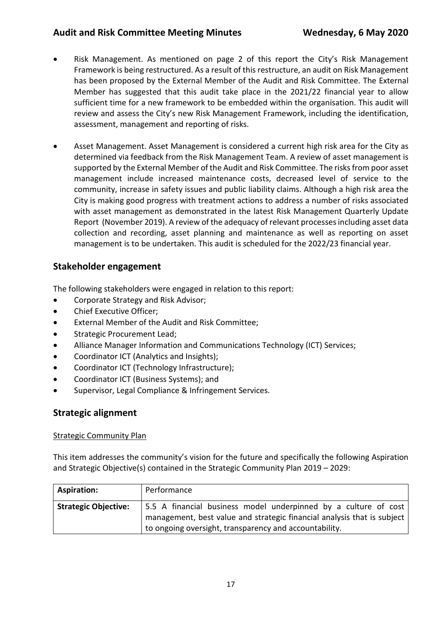- Risk Management. As mentioned on page 2 of this report the City's Risk Management Framework is being restructured. As a result of this restructure, an audit on Risk Management has been proposed by the External Member of the Audit and Risk Committee. The External Member has suggested that this audit take place in the 2021/22 financial year to allow sufficient time for a new framework to be embedded within the organisation. This audit will review and assess the City's new Risk Management Framework, including the identification, assessment, management and reporting of risks.
- Asset Management. Asset Management is considered a current high risk area for the City as determined via feedback from the Risk Management Team. A review of asset management is supported by the External Member of the Audit and Risk Committee. The risks from poor asset management include increased maintenance costs, decreased level of service to the community, increase in safety issues and public liability claims. Although a high risk area the City is making good progress with treatment actions to address a number of risks associated with asset management as demonstrated in the latest Risk Management Quarterly Update Report (November 2019). A review of the adequacy of relevant processes including asset data collection and recording, asset planning and maintenance as well as reporting on asset management is to be undertaken. This audit is scheduled for the 2022/23 financial year.

## **Stakeholder engagement**

The following stakeholders were engaged in relation to this report:

- Corporate Strategy and Risk Advisor;
- Chief Executive Officer;
- External Member of the Audit and Risk Committee;
- Strategic Procurement Lead;
- Alliance Manager Information and Communications Technology (ICT) Services;
- Coordinator ICT (Analytics and Insights);
- Coordinator ICT (Technology Infrastructure);
- Coordinator ICT (Business Systems); and
- Supervisor, Legal Compliance & Infringement Services.

### **Strategic alignment**

#### Strategic Community Plan

This item addresses the community's vision for the future and specifically the following Aspiration and Strategic Objective(s) contained in the Strategic Community Plan 2019 – 2029:

| <b>Aspiration:</b>          | Performance                                                                                                                                                                                          |
|-----------------------------|------------------------------------------------------------------------------------------------------------------------------------------------------------------------------------------------------|
| <b>Strategic Objective:</b> | 5.5 A financial business model underpinned by a culture of cost<br>management, best value and strategic financial analysis that is subject<br>to ongoing oversight, transparency and accountability. |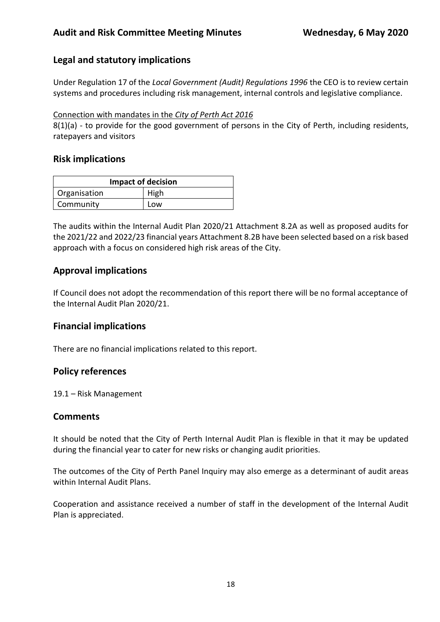### **Legal and statutory implications**

Under Regulation 17 of the *Local Government (Audit) Regulations 1996* the CEO is to review certain systems and procedures including risk management, internal controls and legislative compliance.

#### Connection with mandates in the *City of Perth Act 2016*

8(1)(a) - to provide for the good government of persons in the City of Perth, including residents, ratepayers and visitors

#### **Risk implications**

| <b>Impact of decision</b> |      |  |
|---------------------------|------|--|
| Organisation              | High |  |
| Community                 | Low  |  |

The audits within the Internal Audit Plan 2020/21 Attachment 8.2A as well as proposed audits for the 2021/22 and 2022/23 financial years Attachment 8.2B have been selected based on a risk based approach with a focus on considered high risk areas of the City.

### **Approval implications**

If Council does not adopt the recommendation of this report there will be no formal acceptance of the Internal Audit Plan 2020/21.

### **Financial implications**

There are no financial implications related to this report.

### **Policy references**

19.1 – Risk Management

#### **Comments**

It should be noted that the City of Perth Internal Audit Plan is flexible in that it may be updated during the financial year to cater for new risks or changing audit priorities.

The outcomes of the City of Perth Panel Inquiry may also emerge as a determinant of audit areas within Internal Audit Plans.

Cooperation and assistance received a number of staff in the development of the Internal Audit Plan is appreciated.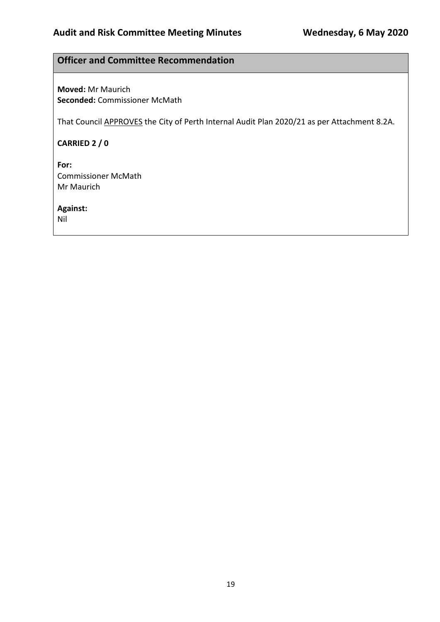## **Officer and Committee Recommendation**

**Moved:** Mr Maurich **Seconded:** Commissioner McMath

That Council APPROVES the City of Perth Internal Audit Plan 2020/21 as per Attachment 8.2A.

**CARRIED 2 / 0**

**For:**  Commissioner McMath Mr Maurich

**Against:** 

Nil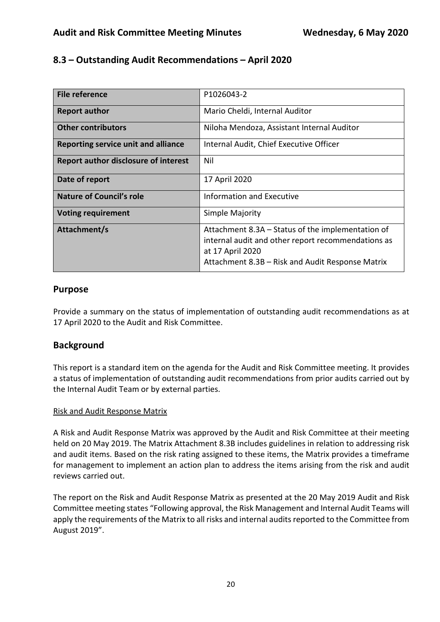## **8.3 – Outstanding Audit Recommendations – April 2020**

| <b>File reference</b>                       | P1026043-2                                                                                                                                                                      |
|---------------------------------------------|---------------------------------------------------------------------------------------------------------------------------------------------------------------------------------|
| <b>Report author</b>                        | Mario Cheldi, Internal Auditor                                                                                                                                                  |
| <b>Other contributors</b>                   | Niloha Mendoza, Assistant Internal Auditor                                                                                                                                      |
| Reporting service unit and alliance         | Internal Audit, Chief Executive Officer                                                                                                                                         |
| <b>Report author disclosure of interest</b> | Nil                                                                                                                                                                             |
| Date of report                              | 17 April 2020                                                                                                                                                                   |
| Nature of Council's role                    | Information and Executive                                                                                                                                                       |
| <b>Voting requirement</b>                   | Simple Majority                                                                                                                                                                 |
| Attachment/s                                | Attachment 8.3A – Status of the implementation of<br>internal audit and other report recommendations as<br>at 17 April 2020<br>Attachment 8.3B – Risk and Audit Response Matrix |

### **Purpose**

Provide a summary on the status of implementation of outstanding audit recommendations as at 17 April 2020 to the Audit and Risk Committee.

## **Background**

This report is a standard item on the agenda for the Audit and Risk Committee meeting. It provides a status of implementation of outstanding audit recommendations from prior audits carried out by the Internal Audit Team or by external parties.

### Risk and Audit Response Matrix

A Risk and Audit Response Matrix was approved by the Audit and Risk Committee at their meeting held on 20 May 2019. The Matrix Attachment 8.3B includes guidelines in relation to addressing risk and audit items. Based on the risk rating assigned to these items, the Matrix provides a timeframe for management to implement an action plan to address the items arising from the risk and audit reviews carried out.

The report on the Risk and Audit Response Matrix as presented at the 20 May 2019 Audit and Risk Committee meeting states "Following approval, the Risk Management and Internal Audit Teams will apply the requirements of the Matrix to all risks and internal audits reported to the Committee from August 2019".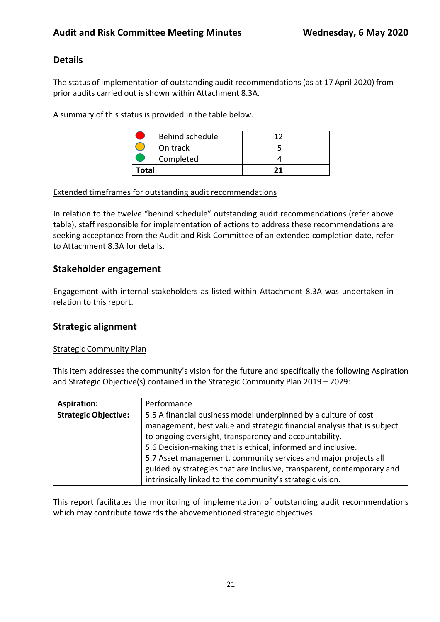## **Details**

The status of implementation of outstanding audit recommendations (as at 17 April 2020) from prior audits carried out is shown within Attachment 8.3A.

A summary of this status is provided in the table below.

|       | Behind schedule |  |
|-------|-----------------|--|
|       | On track        |  |
|       | Completed       |  |
| Total |                 |  |

#### Extended timeframes for outstanding audit recommendations

In relation to the twelve "behind schedule" outstanding audit recommendations (refer above table), staff responsible for implementation of actions to address these recommendations are seeking acceptance from the Audit and Risk Committee of an extended completion date, refer to Attachment 8.3A for details.

### **Stakeholder engagement**

Engagement with internal stakeholders as listed within Attachment 8.3A was undertaken in relation to this report.

### **Strategic alignment**

#### Strategic Community Plan

This item addresses the community's vision for the future and specifically the following Aspiration and Strategic Objective(s) contained in the Strategic Community Plan 2019 – 2029:

| <b>Aspiration:</b>          | Performance                                                             |
|-----------------------------|-------------------------------------------------------------------------|
| <b>Strategic Objective:</b> | 5.5 A financial business model underpinned by a culture of cost         |
|                             | management, best value and strategic financial analysis that is subject |
|                             | to ongoing oversight, transparency and accountability.                  |
|                             | 5.6 Decision-making that is ethical, informed and inclusive.            |
|                             | 5.7 Asset management, community services and major projects all         |
|                             | guided by strategies that are inclusive, transparent, contemporary and  |
|                             | intrinsically linked to the community's strategic vision.               |

This report facilitates the monitoring of implementation of outstanding audit recommendations which may contribute towards the abovementioned strategic objectives.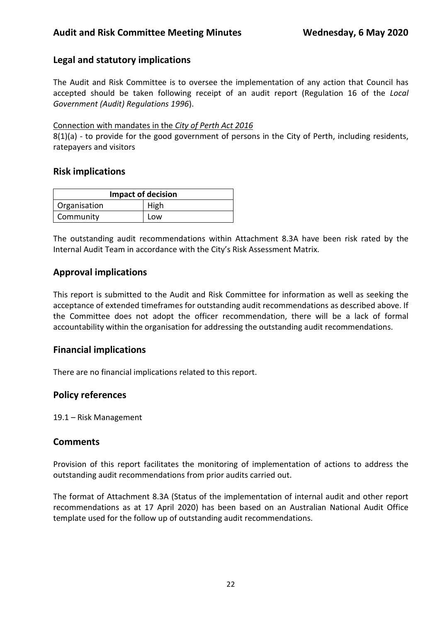## **Legal and statutory implications**

The Audit and Risk Committee is to oversee the implementation of any action that Council has accepted should be taken following receipt of an audit report (Regulation 16 of the *Local Government (Audit) Regulations 1996*).

#### Connection with mandates in the *City of Perth Act 2016*

8(1)(a) - to provide for the good government of persons in the City of Perth, including residents, ratepayers and visitors

### **Risk implications**

| <b>Impact of decision</b> |      |  |
|---------------------------|------|--|
| Organisation              | High |  |
| Community                 | Low  |  |

The outstanding audit recommendations within Attachment 8.3A have been risk rated by the Internal Audit Team in accordance with the City's Risk Assessment Matrix.

## **Approval implications**

This report is submitted to the Audit and Risk Committee for information as well as seeking the acceptance of extended timeframes for outstanding audit recommendations as described above. If the Committee does not adopt the officer recommendation, there will be a lack of formal accountability within the organisation for addressing the outstanding audit recommendations.

## **Financial implications**

There are no financial implications related to this report.

## **Policy references**

19.1 – Risk Management

## **Comments**

Provision of this report facilitates the monitoring of implementation of actions to address the outstanding audit recommendations from prior audits carried out.

The format of Attachment 8.3A (Status of the implementation of internal audit and other report recommendations as at 17 April 2020) has been based on an Australian National Audit Office template used for the follow up of outstanding audit recommendations.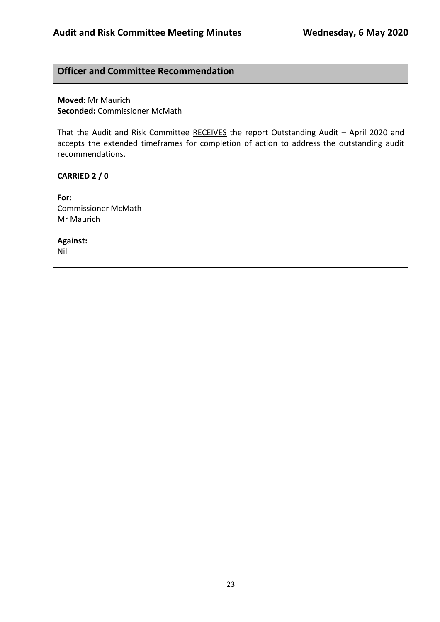## **Officer and Committee Recommendation**

**Moved:** Mr Maurich **Seconded:** Commissioner McMath

That the Audit and Risk Committee RECEIVES the report Outstanding Audit – April 2020 and accepts the extended timeframes for completion of action to address the outstanding audit recommendations.

**CARRIED 2 / 0**

**For:**  Commissioner McMath Mr Maurich

**Against:** 

Nil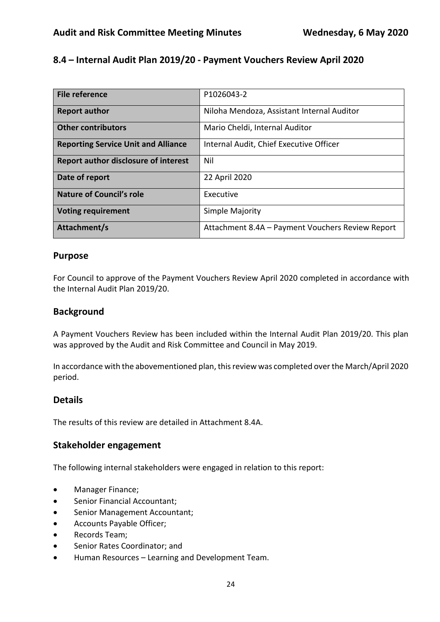# **8.4 – Internal Audit Plan 2019/20 - Payment Vouchers Review April 2020**

| <b>File reference</b>                       | P1026043-2                                       |
|---------------------------------------------|--------------------------------------------------|
|                                             |                                                  |
| <b>Report author</b>                        | Niloha Mendoza, Assistant Internal Auditor       |
|                                             |                                                  |
| <b>Other contributors</b>                   | Mario Cheldi, Internal Auditor                   |
|                                             |                                                  |
| <b>Reporting Service Unit and Alliance</b>  | Internal Audit, Chief Executive Officer          |
|                                             |                                                  |
| <b>Report author disclosure of interest</b> | Nil                                              |
|                                             |                                                  |
| Date of report                              | 22 April 2020                                    |
|                                             |                                                  |
| <b>Nature of Council's role</b>             | Executive                                        |
|                                             |                                                  |
| <b>Voting requirement</b>                   | Simple Majority                                  |
|                                             |                                                  |
| Attachment/s                                | Attachment 8.4A - Payment Vouchers Review Report |
|                                             |                                                  |

#### **Purpose**

For Council to approve of the Payment Vouchers Review April 2020 completed in accordance with the Internal Audit Plan 2019/20.

### **Background**

A Payment Vouchers Review has been included within the Internal Audit Plan 2019/20. This plan was approved by the Audit and Risk Committee and Council in May 2019.

In accordance with the abovementioned plan, this review was completed over the March/April 2020 period.

### **Details**

The results of this review are detailed in Attachment 8.4A.

### **Stakeholder engagement**

The following internal stakeholders were engaged in relation to this report:

- Manager Finance;
- Senior Financial Accountant;
- Senior Management Accountant;
- Accounts Payable Officer;
- Records Team;
- Senior Rates Coordinator; and
- Human Resources Learning and Development Team.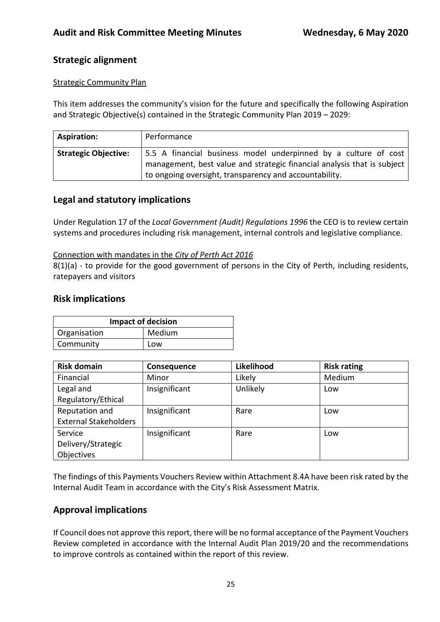## **Strategic alignment**

#### **Strategic Community Plan**

This item addresses the community's vision for the future and specifically the following Aspiration and Strategic Objective(s) contained in the Strategic Community Plan 2019 – 2029:

| <b>Aspiration:</b>          | Performance                                                                                                                                |
|-----------------------------|--------------------------------------------------------------------------------------------------------------------------------------------|
| <b>Strategic Objective:</b> | 5.5 A financial business model underpinned by a culture of cost<br>management, best value and strategic financial analysis that is subject |
|                             | to ongoing oversight, transparency and accountability.                                                                                     |

### **Legal and statutory implications**

Under Regulation 17 of the *Local Government (Audit) Regulations 1996* the CEO is to review certain systems and procedures including risk management, internal controls and legislative compliance.

#### Connection with mandates in the *City of Perth Act 2016*

8(1)(a) - to provide for the good government of persons in the City of Perth, including residents, ratepayers and visitors

#### **Risk implications**

| <b>Impact of decision</b> |        |  |
|---------------------------|--------|--|
| Organisation              | Medium |  |
| Community                 | Low    |  |

| <b>Risk domain</b>           | Consequence   | Likelihood | <b>Risk rating</b> |
|------------------------------|---------------|------------|--------------------|
| Financial                    | Minor         | Likely     | Medium             |
| Legal and                    | Insignificant | Unlikely   | Low                |
| Regulatory/Ethical           |               |            |                    |
| Reputation and               | Insignificant | Rare       | Low                |
| <b>External Stakeholders</b> |               |            |                    |
| Service                      | Insignificant | Rare       | Low                |
| Delivery/Strategic           |               |            |                    |
| Objectives                   |               |            |                    |

The findings of this Payments Vouchers Review within Attachment 8.4A have been risk rated by the Internal Audit Team in accordance with the City's Risk Assessment Matrix.

### **Approval implications**

If Council does not approve this report, there will be no formal acceptance of the Payment Vouchers Review completed in accordance with the Internal Audit Plan 2019/20 and the recommendations to improve controls as contained within the report of this review.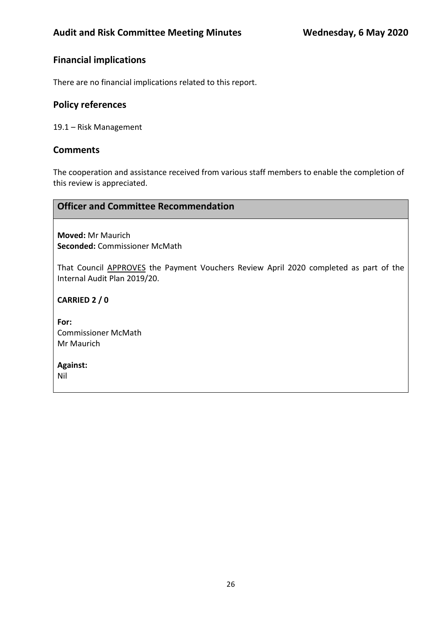## **Financial implications**

There are no financial implications related to this report.

#### **Policy references**

19.1 – Risk Management

#### **Comments**

The cooperation and assistance received from various staff members to enable the completion of this review is appreciated.

#### **Officer and Committee Recommendation**

**Moved:** Mr Maurich **Seconded:** Commissioner McMath

That Council APPROVES the Payment Vouchers Review April 2020 completed as part of the Internal Audit Plan 2019/20.

**CARRIED 2 / 0**

**For:**  Commissioner McMath Mr Maurich

**Against:**  Nil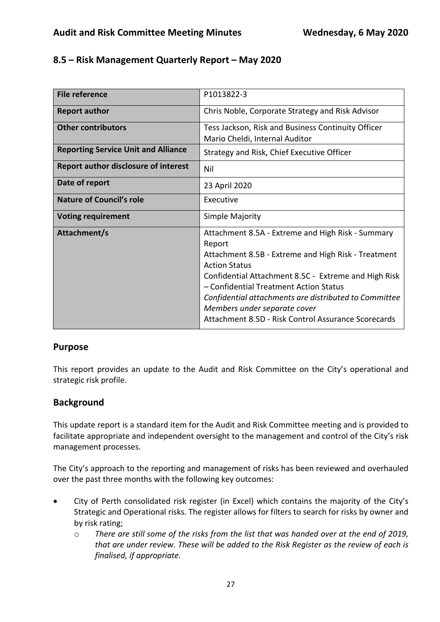## **8.5 – Risk Management Quarterly Report – May 2020**

| <b>File reference</b>                       | P1013822-3                                                                                                                                                                                                                                                                                                                                                                                   |
|---------------------------------------------|----------------------------------------------------------------------------------------------------------------------------------------------------------------------------------------------------------------------------------------------------------------------------------------------------------------------------------------------------------------------------------------------|
| <b>Report author</b>                        | Chris Noble, Corporate Strategy and Risk Advisor                                                                                                                                                                                                                                                                                                                                             |
| <b>Other contributors</b>                   | Tess Jackson, Risk and Business Continuity Officer<br>Mario Cheldi, Internal Auditor                                                                                                                                                                                                                                                                                                         |
| <b>Reporting Service Unit and Alliance</b>  | Strategy and Risk, Chief Executive Officer                                                                                                                                                                                                                                                                                                                                                   |
| <b>Report author disclosure of interest</b> | Nil                                                                                                                                                                                                                                                                                                                                                                                          |
| Date of report                              | 23 April 2020                                                                                                                                                                                                                                                                                                                                                                                |
| <b>Nature of Council's role</b>             | Executive                                                                                                                                                                                                                                                                                                                                                                                    |
| <b>Voting requirement</b>                   | Simple Majority                                                                                                                                                                                                                                                                                                                                                                              |
| Attachment/s                                | Attachment 8.5A - Extreme and High Risk - Summary<br>Report<br>Attachment 8.5B - Extreme and High Risk - Treatment<br><b>Action Status</b><br>Confidential Attachment 8.5C - Extreme and High Risk<br>- Confidential Treatment Action Status<br>Confidential attachments are distributed to Committee<br>Members under separate cover<br>Attachment 8.5D - Risk Control Assurance Scorecards |

## **Purpose**

This report provides an update to the Audit and Risk Committee on the City's operational and strategic risk profile.

## **Background**

This update report is a standard item for the Audit and Risk Committee meeting and is provided to facilitate appropriate and independent oversight to the management and control of the City's risk management processes.

The City's approach to the reporting and management of risks has been reviewed and overhauled over the past three months with the following key outcomes:

- City of Perth consolidated risk register (in Excel) which contains the majority of the City's Strategic and Operational risks. The register allows for filters to search for risks by owner and by risk rating;
	- o *There are still some of the risks from the list that was handed over at the end of 2019, that are under review. These will be added to the Risk Register as the review of each is finalised, if appropriate.*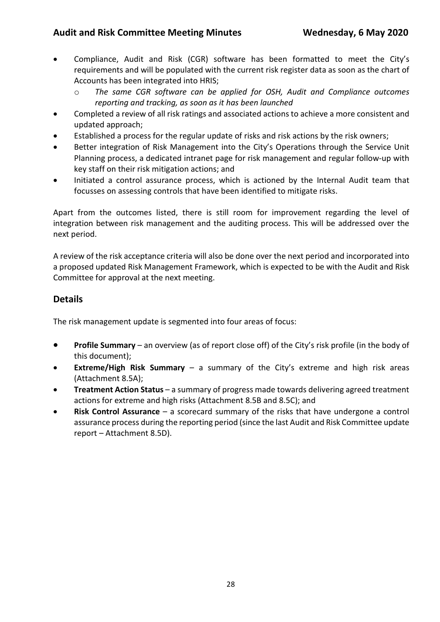- Compliance, Audit and Risk (CGR) software has been formatted to meet the City's requirements and will be populated with the current risk register data as soon as the chart of Accounts has been integrated into HRIS;
	- o *The same CGR software can be applied for OSH, Audit and Compliance outcomes reporting and tracking, as soon as it has been launched*
- Completed a review of all risk ratings and associated actions to achieve a more consistent and updated approach;
- Established a process for the regular update of risks and risk actions by the risk owners;
- Better integration of Risk Management into the City's Operations through the Service Unit Planning process, a dedicated intranet page for risk management and regular follow-up with key staff on their risk mitigation actions; and
- Initiated a control assurance process, which is actioned by the Internal Audit team that focusses on assessing controls that have been identified to mitigate risks.

Apart from the outcomes listed, there is still room for improvement regarding the level of integration between risk management and the auditing process. This will be addressed over the next period.

A review of the risk acceptance criteria will also be done over the next period and incorporated into a proposed updated Risk Management Framework, which is expected to be with the Audit and Risk Committee for approval at the next meeting.

## **Details**

The risk management update is segmented into four areas of focus:

- **Profile Summary** an overview (as of report close off) of the City's risk profile (in the body of this document);
- **Extreme/High Risk Summary** a summary of the City's extreme and high risk areas (Attachment 8.5A);
- **Treatment Action Status**  a summary of progress made towards delivering agreed treatment actions for extreme and high risks (Attachment 8.5B and 8.5C); and
- **Risk Control Assurance** a scorecard summary of the risks that have undergone a control assurance process during the reporting period (since the last Audit and Risk Committee update report – Attachment 8.5D).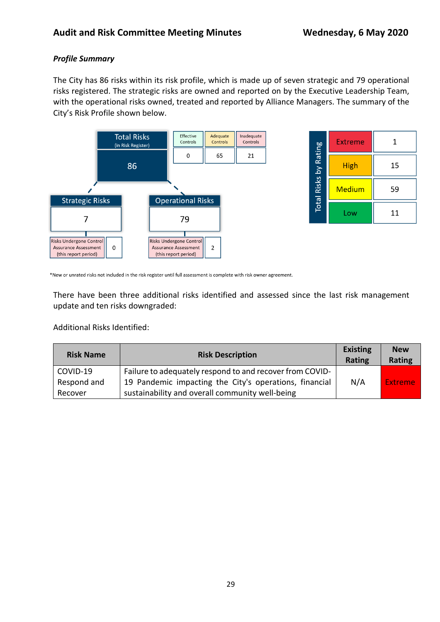### *Profile Summary*

The City has 86 risks within its risk profile, which is made up of seven strategic and 79 operational risks registered. The strategic risks are owned and reported on by the Executive Leadership Team, with the operational risks owned, treated and reported by Alliance Managers. The summary of the City's Risk Profile shown below.



| Total Risks by Rating | <b>Extreme</b> | 1  |
|-----------------------|----------------|----|
|                       | <b>High</b>    | 15 |
|                       | <b>Medium</b>  | 59 |
|                       | Low            | 11 |

\*New or unrated risks not included in the risk register until full assessment is complete with risk owner agreement.

There have been three additional risks identified and assessed since the last risk management update and ten risks downgraded:

Additional Risks Identified:

| <b>Risk Name</b> | <b>Risk Description</b>                                  | <b>Existing</b><br>Rating | <b>New</b><br>Rating |
|------------------|----------------------------------------------------------|---------------------------|----------------------|
| COVID-19         | Failure to adequately respond to and recover from COVID- |                           |                      |
| Respond and      | 19 Pandemic impacting the City's operations, financial   | N/A                       | <b>Extreme</b>       |
| Recover          | sustainability and overall community well-being          |                           |                      |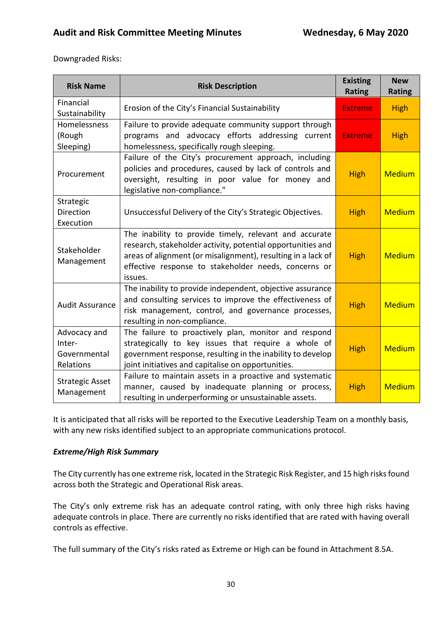Downgraded Risks:

| <b>Risk Name</b>                     | <b>Risk Description</b>                                                                                                                                                                                                                                  | <b>Existing</b><br><b>Rating</b> | <b>New</b><br><b>Rating</b> |
|--------------------------------------|----------------------------------------------------------------------------------------------------------------------------------------------------------------------------------------------------------------------------------------------------------|----------------------------------|-----------------------------|
| Financial<br>Sustainability          | Erosion of the City's Financial Sustainability                                                                                                                                                                                                           | <b>Extreme</b>                   | <b>High</b>                 |
| Homelessness<br>(Rough<br>Sleeping)  | Failure to provide adequate community support through<br>programs and advocacy efforts addressing current<br>homelessness, specifically rough sleeping.                                                                                                  | <b>Extreme</b>                   | <b>High</b>                 |
| Procurement                          | Failure of the City's procurement approach, including<br>policies and procedures, caused by lack of controls and<br>oversight, resulting in poor value for money and<br>legislative non-compliance."                                                     | <b>High</b>                      | <b>Medium</b>               |
| Strategic                            |                                                                                                                                                                                                                                                          |                                  |                             |
| <b>Direction</b>                     | Unsuccessful Delivery of the City's Strategic Objectives.                                                                                                                                                                                                | <b>High</b>                      | <b>Medium</b>               |
| Execution                            |                                                                                                                                                                                                                                                          |                                  |                             |
| Stakeholder<br>Management            | The inability to provide timely, relevant and accurate<br>research, stakeholder activity, potential opportunities and<br>areas of alignment (or misalignment), resulting in a lack of<br>effective response to stakeholder needs, concerns or<br>issues. | <b>High</b>                      | <b>Medium</b>               |
| <b>Audit Assurance</b>               | The inability to provide independent, objective assurance<br>and consulting services to improve the effectiveness of<br>risk management, control, and governance processes,<br>resulting in non-compliance.                                              | <b>High</b>                      | <b>Medium</b>               |
| Advocacy and                         | The failure to proactively plan, monitor and respond                                                                                                                                                                                                     |                                  |                             |
| Inter-                               | strategically to key issues that require a whole of                                                                                                                                                                                                      | <b>High</b>                      | <b>Medium</b>               |
| Governmental<br>Relations            | government response, resulting in the inability to develop<br>joint initiatives and capitalise on opportunities.                                                                                                                                         |                                  |                             |
| <b>Strategic Asset</b><br>Management | Failure to maintain assets in a proactive and systematic<br>manner, caused by inadequate planning or process,<br>resulting in underperforming or unsustainable assets.                                                                                   | <b>High</b>                      | <b>Medium</b>               |

It is anticipated that all risks will be reported to the Executive Leadership Team on a monthly basis, with any new risks identified subject to an appropriate communications protocol.

#### *Extreme/High Risk Summary*

The City currently has one extreme risk, located in the Strategic Risk Register, and 15 high risks found across both the Strategic and Operational Risk areas.

The City's only extreme risk has an adequate control rating, with only three high risks having adequate controls in place. There are currently no risks identified that are rated with having overall controls as effective.

The full summary of the City's risks rated as Extreme or High can be found in Attachment 8.5A.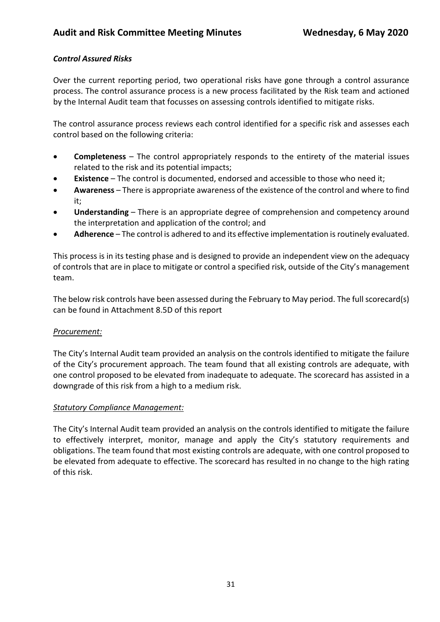### *Control Assured Risks*

Over the current reporting period, two operational risks have gone through a control assurance process. The control assurance process is a new process facilitated by the Risk team and actioned by the Internal Audit team that focusses on assessing controls identified to mitigate risks.

The control assurance process reviews each control identified for a specific risk and assesses each control based on the following criteria:

- **Completeness**  The control appropriately responds to the entirety of the material issues related to the risk and its potential impacts;
- **Existence** The control is documented, endorsed and accessible to those who need it;
- **Awareness**  There is appropriate awareness of the existence of the control and where to find it;
- **Understanding**  There is an appropriate degree of comprehension and competency around the interpretation and application of the control; and
- **Adherence**  The control is adhered to and its effective implementation is routinely evaluated.

This process is in its testing phase and is designed to provide an independent view on the adequacy of controls that are in place to mitigate or control a specified risk, outside of the City's management team.

The below risk controls have been assessed during the February to May period. The full scorecard(s) can be found in Attachment 8.5D of this report

### *Procurement:*

The City's Internal Audit team provided an analysis on the controls identified to mitigate the failure of the City's procurement approach. The team found that all existing controls are adequate, with one control proposed to be elevated from inadequate to adequate. The scorecard has assisted in a downgrade of this risk from a high to a medium risk.

#### *Statutory Compliance Management:*

The City's Internal Audit team provided an analysis on the controls identified to mitigate the failure to effectively interpret, monitor, manage and apply the City's statutory requirements and obligations. The team found that most existing controls are adequate, with one control proposed to be elevated from adequate to effective. The scorecard has resulted in no change to the high rating of this risk.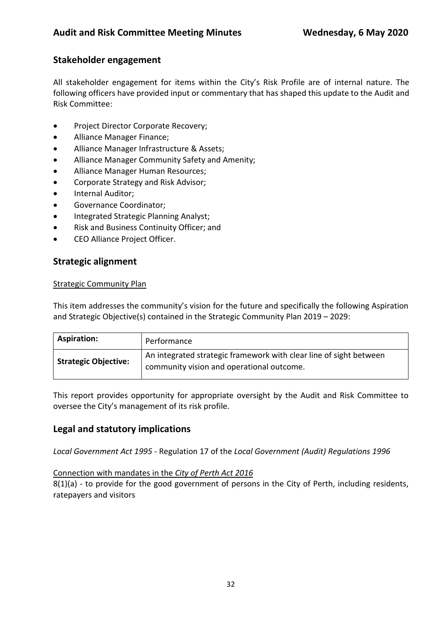## **Stakeholder engagement**

All stakeholder engagement for items within the City's Risk Profile are of internal nature. The following officers have provided input or commentary that has shaped this update to the Audit and Risk Committee:

- Project Director Corporate Recovery;
- Alliance Manager Finance;
- Alliance Manager Infrastructure & Assets;
- Alliance Manager Community Safety and Amenity;
- Alliance Manager Human Resources;
- Corporate Strategy and Risk Advisor;
- Internal Auditor;
- Governance Coordinator;
- Integrated Strategic Planning Analyst;
- Risk and Business Continuity Officer; and
- CEO Alliance Project Officer.

### **Strategic alignment**

#### Strategic Community Plan

This item addresses the community's vision for the future and specifically the following Aspiration and Strategic Objective(s) contained in the Strategic Community Plan 2019 – 2029:

| <b>Aspiration:</b>          | Performance                                                                                                     |
|-----------------------------|-----------------------------------------------------------------------------------------------------------------|
| <b>Strategic Objective:</b> | An integrated strategic framework with clear line of sight between<br>community vision and operational outcome. |

This report provides opportunity for appropriate oversight by the Audit and Risk Committee to oversee the City's management of its risk profile.

### **Legal and statutory implications**

*Local Government Act 1995* - Regulation 17 of the *Local Government (Audit) Regulations 1996*

#### Connection with mandates in the *City of Perth Act 2016*

8(1)(a) - to provide for the good government of persons in the City of Perth, including residents, ratepayers and visitors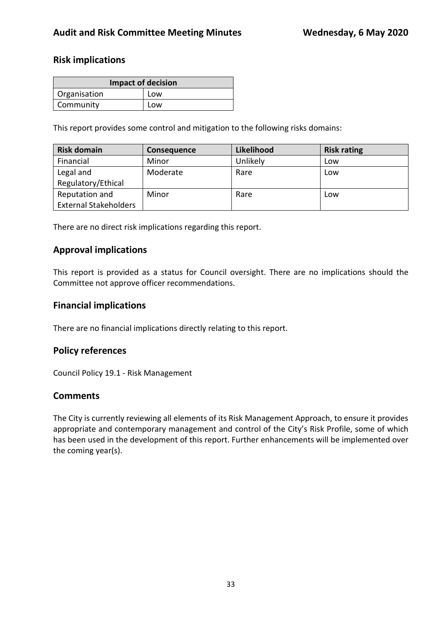### **Risk implications**

| <b>Impact of decision</b> |     |  |  |
|---------------------------|-----|--|--|
| Organisation              | Low |  |  |
| Community                 | Low |  |  |

This report provides some control and mitigation to the following risks domains:

| <b>Risk domain</b>           | <b>Consequence</b> | Likelihood | <b>Risk rating</b> |
|------------------------------|--------------------|------------|--------------------|
| Financial                    | Minor              | Unlikely   | Low                |
| Legal and                    | Moderate           | Rare       | Low                |
| Regulatory/Ethical           |                    |            |                    |
| Reputation and               | Minor              | Rare       | Low                |
| <b>External Stakeholders</b> |                    |            |                    |

There are no direct risk implications regarding this report.

### **Approval implications**

This report is provided as a status for Council oversight. There are no implications should the Committee not approve officer recommendations.

### **Financial implications**

There are no financial implications directly relating to this report.

### **Policy references**

Council Policy 19.1 - Risk Management

### **Comments**

The City is currently reviewing all elements of its Risk Management Approach, to ensure it provides appropriate and contemporary management and control of the City's Risk Profile, some of which has been used in the development of this report. Further enhancements will be implemented over the coming year(s).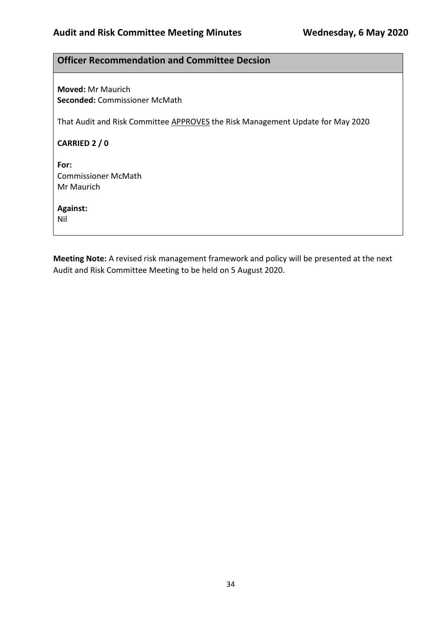## **Officer Recommendation and Committee Decsion**

**Moved:** Mr Maurich **Seconded:** Commissioner McMath

That Audit and Risk Committee APPROVES the Risk Management Update for May 2020

**CARRIED 2 / 0**

**For:**  Commissioner McMath Mr Maurich

**Against:** 

Nil

**Meeting Note:** A revised risk management framework and policy will be presented at the next Audit and Risk Committee Meeting to be held on 5 August 2020.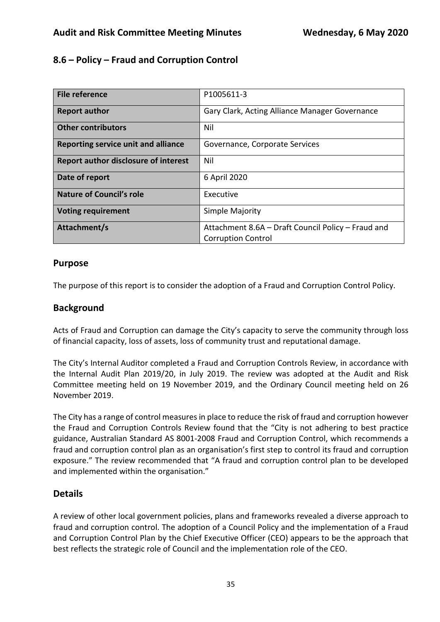## **8.6 – Policy – Fraud and Corruption Control**

| P1005611-3                                         |
|----------------------------------------------------|
|                                                    |
| Gary Clark, Acting Alliance Manager Governance     |
|                                                    |
| Nil                                                |
|                                                    |
| Governance, Corporate Services                     |
|                                                    |
| Nil                                                |
|                                                    |
| 6 April 2020                                       |
|                                                    |
| Executive                                          |
|                                                    |
|                                                    |
| Simple Majority                                    |
|                                                    |
| Attachment 8.6A – Draft Council Policy – Fraud and |
| <b>Corruption Control</b>                          |
|                                                    |

### **Purpose**

The purpose of this report is to consider the adoption of a Fraud and Corruption Control Policy.

### **Background**

Acts of Fraud and Corruption can damage the City's capacity to serve the community through loss of financial capacity, loss of assets, loss of community trust and reputational damage.

The City's Internal Auditor completed a Fraud and Corruption Controls Review, in accordance with the Internal Audit Plan 2019/20, in July 2019. The review was adopted at the Audit and Risk Committee meeting held on 19 November 2019, and the Ordinary Council meeting held on 26 November 2019.

The City has a range of control measures in place to reduce the risk of fraud and corruption however the Fraud and Corruption Controls Review found that the "City is not adhering to best practice guidance, Australian Standard AS 8001-2008 Fraud and Corruption Control, which recommends a fraud and corruption control plan as an organisation's first step to control its fraud and corruption exposure." The review recommended that "A fraud and corruption control plan to be developed and implemented within the organisation."

## **Details**

A review of other local government policies, plans and frameworks revealed a diverse approach to fraud and corruption control. The adoption of a Council Policy and the implementation of a Fraud and Corruption Control Plan by the Chief Executive Officer (CEO) appears to be the approach that best reflects the strategic role of Council and the implementation role of the CEO.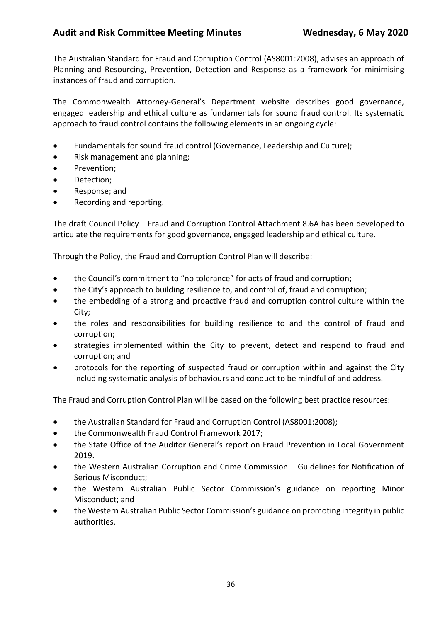The Australian Standard for Fraud and Corruption Control (AS8001:2008), advises an approach of Planning and Resourcing, Prevention, Detection and Response as a framework for minimising instances of fraud and corruption.

The Commonwealth Attorney-General's Department website describes good governance, engaged leadership and ethical culture as fundamentals for sound fraud control. Its systematic approach to fraud control contains the following elements in an ongoing cycle:

- Fundamentals for sound fraud control (Governance, Leadership and Culture);
- Risk management and planning;
- Prevention;
- Detection;
- Response; and
- Recording and reporting.

The draft Council Policy – Fraud and Corruption Control Attachment 8.6A has been developed to articulate the requirements for good governance, engaged leadership and ethical culture.

Through the Policy, the Fraud and Corruption Control Plan will describe:

- the Council's commitment to "no tolerance" for acts of fraud and corruption;
- the City's approach to building resilience to, and control of, fraud and corruption;
- the embedding of a strong and proactive fraud and corruption control culture within the City;
- the roles and responsibilities for building resilience to and the control of fraud and corruption;
- strategies implemented within the City to prevent, detect and respond to fraud and corruption; and
- protocols for the reporting of suspected fraud or corruption within and against the City including systematic analysis of behaviours and conduct to be mindful of and address.

The Fraud and Corruption Control Plan will be based on the following best practice resources:

- the Australian Standard for Fraud and Corruption Control (AS8001:2008);
- the Commonwealth Fraud Control Framework 2017;
- the State Office of the Auditor General's report on Fraud Prevention in Local Government 2019.
- the Western Australian Corruption and Crime Commission Guidelines for Notification of Serious Misconduct;
- the Western Australian Public Sector Commission's guidance on reporting Minor Misconduct; and
- the Western Australian Public Sector Commission's guidance on promoting integrity in public authorities.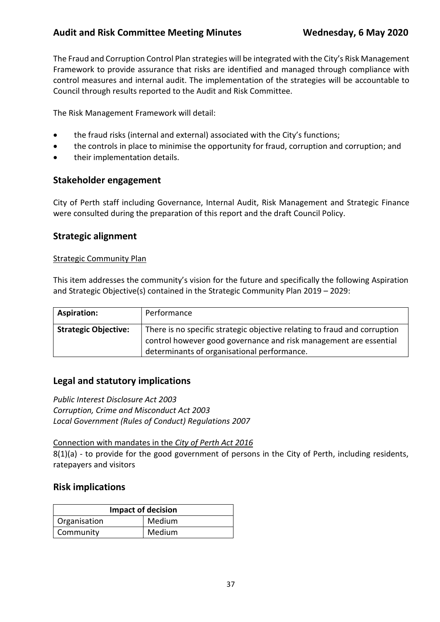The Fraud and Corruption Control Plan strategies will be integrated with the City's Risk Management Framework to provide assurance that risks are identified and managed through compliance with control measures and internal audit. The implementation of the strategies will be accountable to Council through results reported to the Audit and Risk Committee.

The Risk Management Framework will detail:

- the fraud risks (internal and external) associated with the City's functions;
- the controls in place to minimise the opportunity for fraud, corruption and corruption; and
- their implementation details.

### **Stakeholder engagement**

City of Perth staff including Governance, Internal Audit, Risk Management and Strategic Finance were consulted during the preparation of this report and the draft Council Policy.

### **Strategic alignment**

#### Strategic Community Plan

This item addresses the community's vision for the future and specifically the following Aspiration and Strategic Objective(s) contained in the Strategic Community Plan 2019 – 2029:

| <b>Aspiration:</b>          | Performance                                                                                                                                                                                   |
|-----------------------------|-----------------------------------------------------------------------------------------------------------------------------------------------------------------------------------------------|
| <b>Strategic Objective:</b> | There is no specific strategic objective relating to fraud and corruption<br>control however good governance and risk management are essential<br>determinants of organisational performance. |

### **Legal and statutory implications**

*Public Interest Disclosure Act 2003 Corruption, Crime and Misconduct Act 2003 Local Government (Rules of Conduct) Regulations 2007*

Connection with mandates in the *City of Perth Act 2016* 8(1)(a) - to provide for the good government of persons in the City of Perth, including residents, ratepayers and visitors

### **Risk implications**

| <b>Impact of decision</b> |        |  |
|---------------------------|--------|--|
| Organisation              | Medium |  |
| Community                 | Medium |  |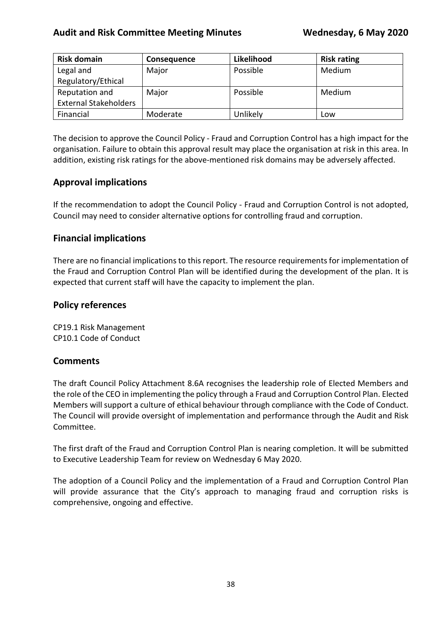| <b>Risk domain</b>           | <b>Consequence</b> | Likelihood | <b>Risk rating</b> |
|------------------------------|--------------------|------------|--------------------|
| Legal and                    | Major              | Possible   | Medium             |
| Regulatory/Ethical           |                    |            |                    |
| Reputation and               | Major              | Possible   | Medium             |
| <b>External Stakeholders</b> |                    |            |                    |
| Financial                    | Moderate           | Unlikely   | Low                |

The decision to approve the Council Policy - Fraud and Corruption Control has a high impact for the organisation. Failure to obtain this approval result may place the organisation at risk in this area. In addition, existing risk ratings for the above-mentioned risk domains may be adversely affected.

### **Approval implications**

If the recommendation to adopt the Council Policy - Fraud and Corruption Control is not adopted, Council may need to consider alternative options for controlling fraud and corruption.

### **Financial implications**

There are no financial implications to this report. The resource requirements for implementation of the Fraud and Corruption Control Plan will be identified during the development of the plan. It is expected that current staff will have the capacity to implement the plan.

### **Policy references**

CP19.1 Risk Management CP10.1 Code of Conduct

### **Comments**

The draft Council Policy Attachment 8.6A recognises the leadership role of Elected Members and the role of the CEO in implementing the policy through a Fraud and Corruption Control Plan. Elected Members will support a culture of ethical behaviour through compliance with the Code of Conduct. The Council will provide oversight of implementation and performance through the Audit and Risk Committee.

The first draft of the Fraud and Corruption Control Plan is nearing completion. It will be submitted to Executive Leadership Team for review on Wednesday 6 May 2020.

The adoption of a Council Policy and the implementation of a Fraud and Corruption Control Plan will provide assurance that the City's approach to managing fraud and corruption risks is comprehensive, ongoing and effective.